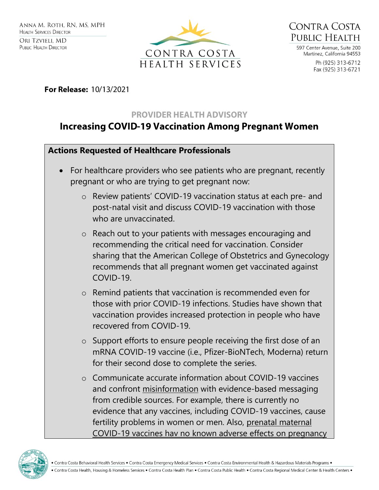



597 Center Avenue, Suite 200 Martinez, California 94553 Ph (925) 313-6712 Fax (925) 313-6721

For Release: 10/13/2021

## **PROVIDER HEALTH ADVISORY**

## **Increasing COVID-19 Vaccination Among Pregnant Women**

## **Actions Requested of Healthcare Professionals**

- For healthcare providers who see patients who are pregnant, recently pregnant or who are trying to get pregnant now:
	- o Review patients' COVID-19 vaccination status at each pre- and post-natal visit and discuss COVID-19 vaccination with those who are unvaccinated.
	- o Reach out to your patients with messages encouraging and recommending the critical need for vaccination. Consider sharing that the American College of Obstetrics and Gynecology recommends that all pregnant women get vaccinated against COVID-19.
	- o Remind patients that vaccination is recommended even for those with prior COVID-19 infections. Studies have shown that vaccination provides increased protection in people who have recovered from COVID-19.
	- o Support efforts to ensure people receiving the first dose of an mRNA COVID-19 vaccine (i.e., Pfizer-BioNTech, Moderna) return for their second dose to complete the series.
	- $\circ$  Communicate accurate information about COVID-19 vaccines and confront [misinformation](https://www.cdc.gov/vaccines/covid-19/health-departments/addressing-vaccine-misinformation.html) with evidence-based messaging from credible sources. For example, there is currently no evidence that any vaccines, including COVID-19 vaccines, cause fertility problems in women or men. Also, [prenatal maternal](https://www.ncbi.nlm.nih.gov/pmc/articles/PMC8421099/)  COVID-19 vaccines hav [no known adverse effects on pregnancy](https://www.ncbi.nlm.nih.gov/pmc/articles/PMC8421099/)